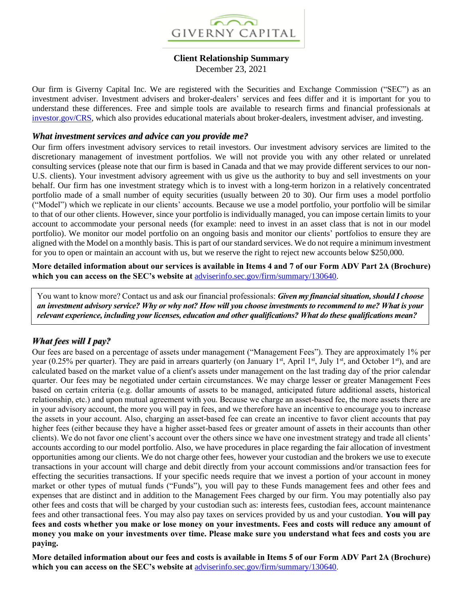

### **Client Relationship Summary**

December 23, 2021

Our firm is Giverny Capital Inc. We are registered with the Securities and Exchange Commission ("SEC") as an investment adviser. Investment advisers and broker-dealers' services and fees differ and it is important for you to understand these differences. Free and simple tools are available to research firms and financial professionals at [investor.gov/CRS,](http://www.investor.gov/CRS) which also provides educational materials about broker-dealers, investment adviser, and investing.

#### *What investment services and advice can you provide me?*

Our firm offers investment advisory services to retail investors. Our investment advisory services are limited to the discretionary management of investment portfolios. We will not provide you with any other related or unrelated consulting services (please note that our firm is based in Canada and that we may provide different services to our non-U.S. clients). Your investment advisory agreement with us give us the authority to buy and sell investments on your behalf. Our firm has one investment strategy which is to invest with a long-term horizon in a relatively concentrated portfolio made of a small number of equity securities (usually between 20 to 30). Our firm uses a model portfolio ("Model") which we replicate in our clients' accounts. Because we use a model portfolio, your portfolio will be similar to that of our other clients. However, since your portfolio is individually managed, you can impose certain limits to your account to accommodate your personal needs (for example: need to invest in an asset class that is not in our model portfolio). We monitor our model portfolio on an ongoing basis and monitor our clients' portfolios to ensure they are aligned with the Model on a monthly basis. This is part of our standard services. We do not require a minimum investment for you to open or maintain an account with us, but we reserve the right to reject new accounts below \$250,000.

**More detailed information about our services is available in Items 4 and 7 of our Form ADV Part 2A (Brochure) which you can access on the SEC's website at** [adviserinfo.sec.gov/firm/summary/130640.](https://adviserinfo.sec.gov/firm/summary/130640)

You want to know more? Contact us and ask our financial professionals: *Given my financial situation, should I choose an investment advisory service? Why or why not? How will you choose investments to recommend to me? What is your relevant experience, including your licenses, education and other qualifications? What do these qualifications mean?*

# *What fees will I pay?*

Our fees are based on a percentage of assets under management ("Management Fees"). They are approximately 1% per year (0.25% per quarter). They are paid in arrears quarterly (on January 1<sup>st</sup>, April 1<sup>st</sup>, July 1<sup>st</sup>, and October 1<sup>st</sup>), and are calculated based on the market value of a client's assets under management on the last trading day of the prior calendar quarter. Our fees may be negotiated under certain circumstances. We may charge lesser or greater Management Fees based on certain criteria (e.g. dollar amounts of assets to be managed, anticipated future additional assets, historical relationship, etc.) and upon mutual agreement with you. Because we charge an asset-based fee, the more assets there are in your advisory account, the more you will pay in fees, and we therefore have an incentive to encourage you to increase the assets in your account. Also, charging an asset-based fee can create an incentive to favor client accounts that pay higher fees (either because they have a higher asset-based fees or greater amount of assets in their accounts than other clients). We do not favor one client's account over the others since we have one investment strategy and trade all clients' accounts according to our model portfolio. Also, we have procedures in place regarding the fair allocation of investment opportunities among our clients. We do not charge other fees, however your custodian and the brokers we use to execute transactions in your account will charge and debit directly from your account commissions and/or transaction fees for effecting the securities transactions. If your specific needs require that we invest a portion of your account in money market or other types of mutual funds ("Funds"), you will pay to these Funds management fees and other fees and expenses that are distinct and in addition to the Management Fees charged by our firm. You may potentially also pay other fees and costs that will be charged by your custodian such as: interests fees, custodian fees, account maintenance fees and other transactional fees. You may also pay taxes on services provided by us and your custodian. **You will pay fees and costs whether you make or lose money on your investments. Fees and costs will reduce any amount of money you make on your investments over time. Please make sure you understand what fees and costs you are paying.**

**More detailed information about our fees and costs is available in Items 5 of our Form ADV Part 2A (Brochure) which you can access on the SEC's website at** [adviserinfo.sec.gov/firm/summary/130640](https://adviserinfo.sec.gov/firm/summary/130640).